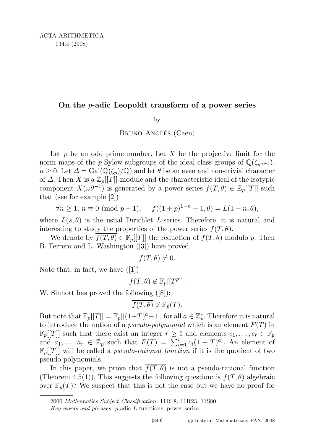## On the  $p$ -adic Leopoldt transform of a power series

by

BRUNO ANGLÈS (Caen)

Let  $p$  be an odd prime number. Let  $X$  be the projective limit for the norm maps of the p-Sylow subgroups of the ideal class groups of  $\mathbb{Q}(\zeta_{p^{n+1}})$ ,  $n \geq 0$ . Let  $\Delta = \text{Gal}(\mathbb{Q}(\zeta_p)/\mathbb{Q})$  and let  $\theta$  be an even and non-trivial character of  $\Delta$ . Then X is a  $\mathbb{Z}_p[[T]]$ -module and the characteristic ideal of the isotypic component  $X(\omega \theta^{-1})$  is generated by a power series  $f(T, \theta) \in \mathbb{Z}_p[[T]]$  such that (see for example [2])

$$
\forall n \ge 1, n \equiv 0 \pmod{p-1}, \quad f((1+p)^{1-n}-1,\theta) = L(1-n,\theta),
$$

where  $L(s, \theta)$  is the usual Dirichlet L-series. Therefore, it is natural and interesting to study the properties of the power series  $f(T, \theta)$ .

We denote by  $f(T, \theta) \in \mathbb{F}_p[[T]]$  the reduction of  $f(T, \theta)$  modulo p. Then B. Ferrero and L. Washington ([3]) have proved

$$
\overline{f(T,\theta)}\neq 0.
$$

Note that, in fact, we have ([1])

$$
\overline{f(T,\theta)} \not\in \mathbb{F}_p[[T^p]].
$$

W. Sinnott has proved the following ([8]):

$$
\overline{f(T,\theta)} \not\in \mathbb{F}_p(T).
$$

But note that  $\mathbb{F}_p[[T]] = \mathbb{F}_p[[(1+T)^a-1]]$  for all  $a \in \mathbb{Z}_p^*$ . Therefore it is natural to introduce the notion of a *pseudo-polynomial* which is an element  $F(T)$  in  $\mathbb{F}_p[[T]]$  such that there exist an integer  $r \geq 1$  and elements  $c_1, \ldots, c_r \in \mathbb{F}_p$ and  $a_1, \ldots, a_r \in \mathbb{Z}_p$  such that  $F(T) = \sum_{i=1}^r c_i (1+T)^{a_i}$ . An element of  $\mathbb{F}_p[[T]]$  will be called a *pseudo-rational function* if it is the quotient of two pseudo-polynomials.

In this paper, we prove that  $\overline{f(T, \theta)}$  is not a pseudo-rational function (Theorem 4.5(1)). This suggests the following question: is  $f(T, \theta)$  algebraic over  $\mathbb{F}_p(T)$ ? We suspect that this is not the case but we have no proof for

<sup>2000</sup> Mathematics Subject Classification: 11R18, 11R23, 11S80.

Key words and phrases: p-adic L-functions, power series.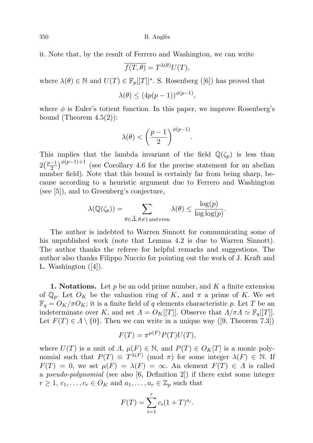350 B. Angl`es

it. Note that, by the result of Ferrero and Washington, we can write

$$
\overline{f(T,\theta)} = T^{\lambda(\theta)}U(T),
$$

where  $\lambda(\theta) \in \mathbb{N}$  and  $U(T) \in \mathbb{F}_p[[T]]^*$ . S. Rosenberg ([6]) has proved that

$$
\lambda(\theta) \le (4p(p-1))^{\phi(p-1)},
$$

where  $\phi$  is Euler's totient function. In this paper, we improve Rosenberg's bound (Theorem  $4.5(2)$ ):

$$
\lambda(\theta) < \left(\frac{p-1}{2}\right)^{\phi(p-1)}.
$$

This implies that the lambda invariant of the field  $\mathbb{Q}(\zeta_p)$  is less than  $2\left(\frac{p-1}{2}\right)$  $\frac{(-1)}{2}$ )<sup> $\phi(p-1)+1$ </sup> (see Corollary 4.6 for the precise statement for an abelian number field). Note that this bound is certainly far from being sharp, because according to a heuristic argument due to Ferrero and Washington (see [5]), and to Greenberg's conjecture,

$$
\lambda(\mathbb{Q}(\zeta_p)) = \sum_{\theta \in \widehat{\Delta}, \, \theta \neq 1 \text{ and even}} \lambda(\theta) \leq \frac{\log(p)}{\log \log(p)}.
$$

The author is indebted to Warren Sinnott for communicating some of his unpublished work (note that Lemma 4.2 is due to Warren Sinnott). The author thanks the referee for helpful remarks and suggestions. The author also thanks Filippo Nuccio for pointing out the work of J. Kraft and L. Washington ([4]).

**1. Notations.** Let p be an odd prime number, and K a finite extension of  $\mathbb{Q}_p$ . Let  $O_K$  be the valuation ring of K, and  $\pi$  a prime of K. We set  $\mathbb{F}_q = O_K/\pi O_K$ ; it is a finite field of q elements characteristic p. Let T be an indeterminate over K, and set  $\Lambda = O_K[[T]]$ . Observe that  $\Lambda/\pi\Lambda \simeq \mathbb{F}_q[[T]]$ . Let  $F(T) \in \Lambda \setminus \{0\}$ . Then we can write in a unique way ([9, Theorem 7.3])

$$
F(T) = \pi^{\mu(F)} P(T) U(T),
$$

where  $U(T)$  is a unit of  $\Lambda$ ,  $\mu(F) \in \mathbb{N}$ , and  $P(T) \in O_K[T]$  is a monic polynomial such that  $P(T) \equiv T^{\lambda(F)} \pmod{\pi}$  for some integer  $\lambda(F) \in \mathbb{N}$ . If  $F(T) = 0$ , we set  $\mu(F) = \lambda(F) = \infty$ . An element  $F(T) \in \Lambda$  is called a pseudo-polynomial (see also [6, Definition 2]) if there exist some integer  $r \geq 1, c_1, \ldots, c_r \in O_K$  and  $a_1, \ldots, a_r \in \mathbb{Z}_p$  such that

$$
F(T) = \sum_{i=1}^{r} c_i (1+T)^{a_i}.
$$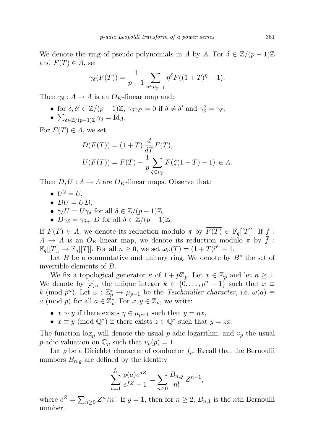We denote the ring of pseudo-polynomials in  $\Lambda$  by  $A$ . For  $\delta \in \mathbb{Z}/(p-1)\mathbb{Z}$ and  $F(T) \in \Lambda$ , set

$$
\gamma_{\delta}(F(T)) = \frac{1}{p-1} \sum_{\eta \in \mu_{p-1}} \eta^{\delta} F((1+T)^{\eta} - 1).
$$

Then  $\gamma_{\delta}: A \to A$  is an  $O_K$ -linear map and:

- for  $\delta, \delta' \in \mathbb{Z}/(p-1)\mathbb{Z}$ ,  $\gamma_{\delta}\gamma_{\delta'} = 0$  if  $\delta \neq \delta'$  and  $\gamma_{\delta}^2 = \gamma_{\delta}$ ,
- $\sum_{\delta \in \mathbb{Z}/(p-1)\mathbb{Z}} \gamma_{\delta} = \mathrm{Id}_{\Lambda}.$

For  $F(T) \in \Lambda$ , we set

$$
D(F(T)) = (1+T)\frac{d}{dT}F(T),
$$
  
\n
$$
U(F(T)) = F(T) - \frac{1}{p}\sum_{\zeta \in \mu_p} F(\zeta(1+T) - 1) \in \Lambda.
$$

Then  $D, U: A \to A$  are  $O_K$ -linear maps. Observe that:

- $U^2 = U$ ,
- $DU = UD$ ,
- $\gamma_{\delta} U = U \gamma_{\delta}$  for all  $\delta \in \mathbb{Z}/(p-1)\mathbb{Z}$ ,
- $D\gamma_{\delta} = \gamma_{\delta+1}D$  for all  $\delta \in \mathbb{Z}/(p-1)\mathbb{Z}$ .

If  $F(T) \in \Lambda$ , we denote its reduction modulo  $\pi$  by  $\overline{F(T)} \in \mathbb{F}_q[[T]]$ . If f:  $\Lambda \to \Lambda$  is an  $O_K$ -linear map, we denote its reduction modulo  $\pi$  by  $\bar{f}$ :  $\mathbb{F}_q[[T]] \to \mathbb{F}_q[[T]]$ . For all  $n \geq 0$ , we set  $\omega_n(T) = (1+T)^{p^n} - 1$ .

Let  $B$  be a commutative and unitary ring. We denote by  $B^*$  the set of invertible elements of B.

We fix a topological generator  $\kappa$  of  $1 + p\mathbb{Z}_p$ . Let  $x \in \mathbb{Z}_p$  and let  $n \geq 1$ . We denote by  $[x]_n$  the unique integer  $k \in \{0, \ldots, p^n-1\}$  such that  $x \equiv$ k (mod  $p^n$ ). Let  $\omega : \mathbb{Z}_p^* \to \mu_{p-1}$  be the *Teichmüller character*, i.e.  $\omega(a) \equiv$ a (mod p) for all  $a \in \mathbb{Z}_p^*$ . For  $x, y \in \mathbb{Z}_p$ , we write:

- $x \sim y$  if there exists  $\eta \in \mu_{p-1}$  such that  $y = \eta x$ ,
- $x \equiv y \pmod{\mathbb{Q}^*}$  if there exists  $z \in \mathbb{Q}^*$  such that  $y = zx$ .

The function  $log_p$  will denote the usual *p*-adic logarithm, and  $v_p$  the usual *p*-adic valuation on  $\mathbb{C}_p$  such that  $v_p(p) = 1$ .

Let  $\varrho$  be a Dirichlet character of conductor  $f_{\varrho}$ . Recall that the Bernoulli numbers  $B_{n,\rho}$  are defined by the identity

$$
\sum_{a=1}^{f_{\varrho}} \frac{\varrho(a)e^{aZ}}{e^{fZ} - 1} = \sum_{n \ge 0} \frac{B_{n,\varrho}}{n!} Z^{n-1},
$$

where  $e^Z = \sum_{n\geq 0} Z^n/n!$ . If  $\varrho = 1$ , then for  $n \geq 2$ ,  $B_{n,1}$  is the *n*th Bernoulli number.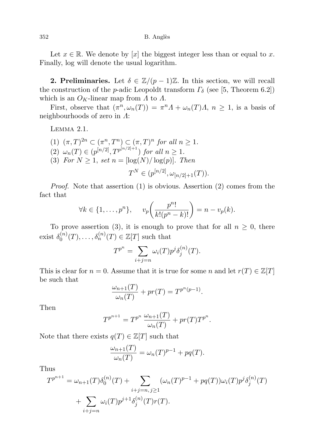352 B. Angl`es

Let  $x \in \mathbb{R}$ . We denote by [x] the biggest integer less than or equal to x. Finally, log will denote the usual logarithm.

**2. Preliminaries.** Let  $\delta \in \mathbb{Z}/(p-1)\mathbb{Z}$ . In this section, we will recall the construction of the *p*-adic Leopoldt transform  $\Gamma_{\delta}$  (see [5, Theorem 6.2]) which is an  $O_K$ -linear map from  $\Lambda$  to  $\Lambda$ .

First, observe that  $(\pi^n, \omega_n(T)) = \pi^n \Lambda + \omega_n(T) \Lambda$ ,  $n \geq 1$ , is a basis of neighbourhoods of zero in Λ:

Lemma 2.1.

(1)  $(\pi, T)^{2n} \subset (\pi^n, T^n) \subset (\pi, T)^n$  for all  $n \geq 1$ . (2)  $\omega_n(T) \in (p^{[n/2]}, T^{p^{[n/2]+1}})$  for all  $n \geq 1$ . (3) For  $N \geq 1$ , set  $n = \lfloor \log(N) / \log(p) \rfloor$ . Then  $T^N \in (p^{[n/2]}, \omega_{[n/2]+1}(T)).$ 

Proof. Note that assertion (1) is obvious. Assertion (2) comes from the fact that

$$
\forall k \in \{1, \ldots, p^n\}, \qquad v_p\bigg(\frac{p^n!}{k!(p^n-k)!}\bigg) = n - v_p(k).
$$

To prove assertion (3), it is enough to prove that for all  $n \geq 0$ , there exist  $\delta_0^{(n)}$  $\delta_0^{(n)}(T), \ldots, \delta_n^{(n)}(T) \in \mathbb{Z}[T]$  such that

$$
T^{p^n} = \sum_{i+j=n} \omega_i(T) p^j \delta_j^{(n)}(T).
$$

This is clear for  $n = 0$ . Assume that it is true for some n and let  $r(T) \in \mathbb{Z}[T]$ be such that

$$
\frac{\omega_{n+1}(T)}{\omega_n(T)} + pr(T) = T^{p^n(p-1)}.
$$

Then

$$
T^{p^{n+1}} = T^{p^n} \frac{\omega_{n+1}(T)}{\omega_n(T)} + pr(T) T^{p^n}.
$$

Note that there exists  $q(T) \in \mathbb{Z}[T]$  such that

$$
\frac{\omega_{n+1}(T)}{\omega_n(T)} = \omega_n(T)^{p-1} + pq(T).
$$

Thus

$$
T^{p^{n+1}} = \omega_{n+1}(T)\delta_0^{(n)}(T) + \sum_{i+j=n, j\geq 1} (\omega_n(T)^{p-1} + pq(T))\omega_i(T)p^j\delta_j^{(n)}(T) + \sum_{i+j=n} \omega_i(T)p^{j+1}\delta_j^{(n)}(T)r(T).
$$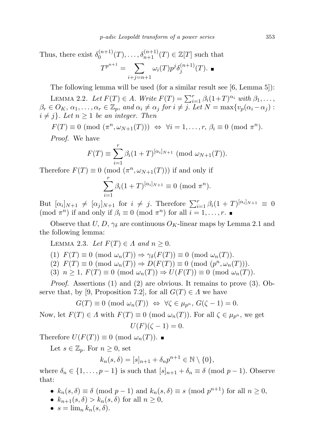Thus, there exist  $\delta_0^{(n+1)}$  $\delta_0^{(n+1)}(T), \ldots, \delta_{n+1}^{(n+1)}(T) \in \mathbb{Z}[T]$  such that  $T^{p^{n+1}} = \sum$  $i+j=n+1$  $\omega_i(T) p^j \delta^{(n+1)}_j$  $j^{(n+1)}(T).$ 

The following lemma will be used (for a similar result see [6, Lemma 5]):

LEMMA 2.2. Let  $F(T) \in A$ . Write  $F(T) = \sum_{i=1}^{r} \beta_i (1+T)^{\alpha_i}$  with  $\beta_1, \ldots,$  $\beta_r \in O_K, \, \alpha_1, \ldots, \alpha_r \in \mathbb{Z}_p$ , and  $\alpha_i \neq \alpha_j$  for  $i \neq j$ . Let  $N = \max\{v_p(\alpha_i - \alpha_j):$  $i \neq j$ . Let  $n \geq 1$  be an integer. Then

 $F(T) \equiv 0 \pmod{(\pi^n, \omega_{N+1}(T))} \Leftrightarrow \forall i = 1, \ldots, r, \beta_i \equiv 0 \pmod{\pi^n}.$ Proof. We have

$$
F(T) \equiv \sum_{i=1}^{r} \beta_i (1+T)^{[\alpha_i]_{N+1}} \pmod{\omega_{N+1}(T)}.
$$

Therefore  $F(T) \equiv 0 \pmod{(\pi^n, \omega_{N+1}(T))}$  if and only if

$$
\sum_{i=1}^{r} \beta_i (1+T)^{[\alpha_i]_{N+1}} \equiv 0 \ (\text{mod } \pi^n).
$$

But  $[\alpha_i]_{N+1} \neq [\alpha_j]_{N+1}$  for  $i \neq j$ . Therefore  $\sum_{i=1}^r \beta_i (1+T)^{[\alpha_i]_{N+1}} \equiv 0$ (mod  $\pi^n$ ) if and only if  $\beta_i \equiv 0 \pmod{\pi^n}$  for all  $i = 1, \ldots, r$ .

Observe that U, D,  $\gamma_{\delta}$  are continuous  $O_K$ -linear maps by Lemma 2.1 and the following lemma:

LEMMA 2.3. Let  $F(T) \in \Lambda$  and  $n \geq 0$ .

(1)  $F(T) \equiv 0 \pmod{\omega_n(T)} \Rightarrow \gamma_\delta(F(T)) \equiv 0 \pmod{\omega_n(T)}$ .

(2)  $F(T) \equiv 0 \pmod{\omega_n(T)} \Rightarrow D(F(T)) \equiv 0 \pmod{(p^n, \omega_n(T))}.$ 

(3)  $n \geq 1$ ,  $F(T) \equiv 0 \pmod{\omega_n(T)} \Rightarrow U(F(T)) \equiv 0 \pmod{\omega_n(T)}$ .

Proof. Assertions (1) and (2) are obvious. It remains to prove (3). Observe that, by [9, Proposition 7.2], for all  $G(T) \in \Lambda$  we have

$$
G(T) \equiv 0 \pmod{\omega_n(T)} \iff \forall \zeta \in \mu_{p^n}, G(\zeta - 1) = 0.
$$

Now, let  $F(T) \in \Lambda$  with  $F(T) \equiv 0 \pmod{\omega_n(T)}$ . For all  $\zeta \in \mu_{p^n}$ , we get

$$
U(F)(\zeta - 1) = 0.
$$

Therefore  $U(F(T)) \equiv 0 \pmod{\omega_n(T)}$ .

Let  $s \in \mathbb{Z}_p$ . For  $n \geq 0$ , set

$$
k_n(s,\delta) = [s]_{n+1} + \delta_n p^{n+1} \in \mathbb{N} \setminus \{0\},\
$$

where  $\delta_n \in \{1, \ldots, p-1\}$  is such that  $[s]_{n+1} + \delta_n \equiv \delta \pmod{p-1}$ . Observe that:

- $k_n(s, \delta) \equiv \delta \pmod{p-1}$  and  $k_n(s, \delta) \equiv s \pmod{p^{n+1}}$  for all  $n \geq 0$ ,
- $k_{n+1}(s,\delta) > k_n(s,\delta)$  for all  $n \geq 0$ ,
- $s = \lim_{n} k_n(s, \delta)$ .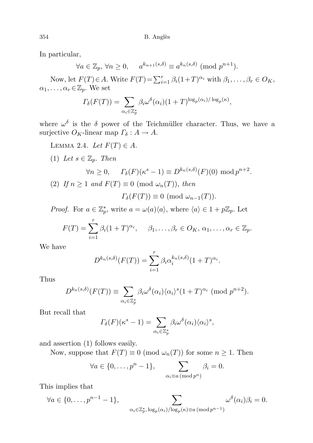In particular,

$$
\forall a \in \mathbb{Z}_p, \forall n \ge 0, \quad a^{k_{n+1}(s,\delta)} \equiv a^{k_n(s,\delta)} \pmod{p^{n+1}}.
$$

Now, let  $F(T) \in A$ . Write  $F(T) = \sum_{i=1}^{r} \beta_i (1+T)^{\alpha_i}$  with  $\beta_1, \ldots, \beta_r \in O_K$ ,  $\alpha_1, \ldots, \alpha_r \in \mathbb{Z}_p$ . We set

$$
\Gamma_{\delta}(F(T)) = \sum_{\alpha_i \in \mathbb{Z}_p^*} \beta_i \omega^{\delta}(\alpha_i) (1+T)^{\log_p(\alpha_i)/\log_p(\kappa)},
$$

where  $\omega^{\delta}$  is the  $\delta$  power of the Teichmüller character. Thus, we have a surjective  $O_K$ -linear map  $\Gamma_\delta: A \to A$ .

- LEMMA 2.4. Let  $F(T) \in A$ . (1) Let  $s \in \mathbb{Z}_p$ . Then  $\forall n \geq 0, \quad \Gamma_{\delta}(F)(\kappa^s - 1) \equiv D^{k_n(s,\delta)}(F)(0) \bmod p^{n+2}.$
- (2) If  $n \geq 1$  and  $F(T) \equiv 0 \pmod{\omega_n(T)}$ , then  $\Gamma_{\delta}(F(T)) \equiv 0 \pmod{\omega_{n-1}(T)}$ .

*Proof.* For  $a \in \mathbb{Z}_p^*$ , write  $a = \omega(a) \langle a \rangle$ , where  $\langle a \rangle \in 1 + p\mathbb{Z}_p$ . Let

$$
F(T) = \sum_{i=1}^r \beta_i (1+T)^{\alpha_i}, \quad \beta_1, \dots, \beta_r \in O_K, \alpha_1, \dots, \alpha_r \in \mathbb{Z}_p.
$$

We have

$$
D^{k_n(s,\delta)}(F(T)) = \sum_{i=1}^r \beta_i \alpha_i^{k_n(s,\delta)} (1+T)^{\alpha_i}.
$$

Thus

$$
D^{k_n(s,\delta)}(F(T)) \equiv \sum_{\alpha_i \in \mathbb{Z}_p^*} \beta_i \omega^{\delta}(\alpha_i) \langle \alpha_i \rangle^s (1+T)^{\alpha_i} \pmod{p^{n+2}}.
$$

But recall that

$$
\Gamma_{\delta}(F)(\kappa^s - 1) = \sum_{\alpha_i \in \mathbb{Z}_p^*} \beta_i \omega^{\delta}(\alpha_i) \langle \alpha_i \rangle^s,
$$

and assertion (1) follows easily.

Now, suppose that  $F(T) \equiv 0 \pmod{\omega_n(T)}$  for some  $n \geq 1$ . Then

$$
\forall a \in \{0, \ldots, p^{n} - 1\}, \qquad \sum_{\alpha_i \equiv a \, (\text{mod } p^{n})} \beta_i = 0.
$$

This implies that

$$
\forall a \in \{0, \ldots, p^{n-1} - 1\}, \sum_{\alpha_i \in \mathbb{Z}_p^*, \log_p(\alpha_i)/\log_p(\kappa) \equiv a \pmod{p^{n-1}}} \omega^{\delta}(\alpha_i) \beta_i = 0.
$$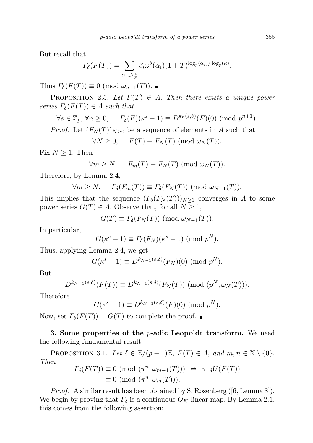But recall that

$$
\Gamma_{\delta}(F(T)) = \sum_{\alpha_i \in \mathbb{Z}_p^*} \beta_i \omega^{\delta}(\alpha_i) (1+T)^{\log_p(\alpha_i)/\log_p(\kappa)}.
$$

Thus  $\Gamma_{\delta}(F(T)) \equiv 0 \pmod{\omega_{n-1}(T)}$ .

PROPOSITION 2.5. Let  $F(T) \in \Lambda$ . Then there exists a unique power series  $\Gamma_{\delta}(F(T)) \in \Lambda$  such that

$$
\forall s \in \mathbb{Z}_p, \forall n \ge 0, \quad \Gamma_{\delta}(F)(\kappa^s - 1) \equiv D^{k_n(s,\delta)}(F)(0) \pmod{p^{n+1}}.
$$

*Proof.* Let  $(F_N(T))_{N\geq 0}$  be a sequence of elements in A such that

 $\forall N \geq 0$ ,  $F(T) \equiv F_N(T) \pmod{\omega_N(T)}$ .

Fix  $N \geq 1$ . Then

$$
\forall m \ge N, \quad F_m(T) \equiv F_N(T) \pmod{\omega_N(T)}.
$$

Therefore, by Lemma 2.4,

$$
\forall m \ge N, \quad \Gamma_{\delta}(F_m(T)) \equiv \Gamma_{\delta}(F_N(T)) \pmod{\omega_{N-1}(T)}.
$$

This implies that the sequence  $(\Gamma_{\delta}(F_N(T)))_{N>1}$  converges in  $\Lambda$  to some power series  $G(T) \in \Lambda$ . Observe that, for all  $N \geq 1$ ,

$$
G(T) \equiv \Gamma_{\delta}(F_N(T)) \pmod{\omega_{N-1}(T)}.
$$

In particular,

$$
G(\kappa^s - 1) \equiv \Gamma_{\delta}(F_N)(\kappa^s - 1) \pmod{p^N}.
$$

Thus, applying Lemma 2.4, we get

$$
G(\kappa^s - 1) \equiv D^{k_{N-1}(s,\delta)}(F_N)(0) \pmod{p^N}.
$$

But

$$
D^{k_{N-1}(s,\delta)}(F(T)) \equiv D^{k_{N-1}(s,\delta)}(F_N(T)) \pmod{(p^N,\omega_N(T))}.
$$

Therefore

$$
G(\kappa^s - 1) \equiv D^{k_{N-1}(s,\delta)}(F)(0) \pmod{p^N}.
$$

Now, set  $\Gamma_{\delta}(F(T)) = G(T)$  to complete the proof.  $\blacksquare$ 

3. Some properties of the  $p$ -adic Leopoldt transform. We need the following fundamental result:

PROPOSITION 3.1. Let  $\delta \in \mathbb{Z}/(p-1)\mathbb{Z}$ ,  $F(T) \in \Lambda$ , and  $m, n \in \mathbb{N} \setminus \{0\}$ . Then

$$
T_{\delta}(F(T)) \equiv 0 \pmod{(\pi^n, \omega_{m-1}(T))} \Leftrightarrow \gamma_{-\delta}U(F(T))
$$
  

$$
\equiv 0 \pmod{(\pi^n, \omega_m(T))}.
$$

Proof. A similar result has been obtained by S. Rosenberg ([6, Lemma 8]). We begin by proving that  $\Gamma_{\delta}$  is a continuous  $O_K$ -linear map. By Lemma 2.1, this comes from the following assertion: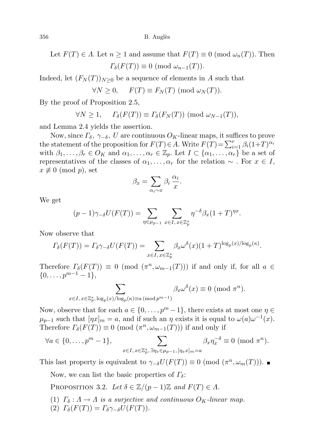Let  $F(T) \in \Lambda$ . Let  $n \geq 1$  and assume that  $F(T) \equiv 0 \pmod{\omega_n(T)}$ . Then  $\Gamma_{\delta}(F(T)) \equiv 0 \pmod{\omega_{n-1}(T)}$ .

Indeed, let  $(F_N(T))_{N\geq 0}$  be a sequence of elements in A such that

$$
\forall N \geq 0, \quad F(T) \equiv F_N(T) \pmod{\omega_N(T)}.
$$

By the proof of Proposition 2.5,

$$
\forall N \geq 1, \quad \Gamma_{\delta}(F(T)) \equiv \Gamma_{\delta}(F_N(T)) \pmod{\omega_{N-1}(T)},
$$

and Lemma 2.4 yields the assertion.

Now, since  $\Gamma_{\delta}$ ,  $\gamma_{-\delta}$ , U are continuous  $O_K$ -linear maps, it suffices to prove the statement of the proposition for  $F(T) \in A$ . Write  $F(T) = \sum_{i=1}^{r} \beta_i (1+T)^{\alpha_i}$ with  $\beta_1, \ldots, \beta_r \in O_K$  and  $\alpha_1, \ldots, \alpha_r \in \mathbb{Z}_p$ . Let  $I \subset \{\alpha_1, \ldots, \alpha_r\}$  be a set of representatives of the classes of  $\alpha_1, \ldots, \alpha_r$  for the relation  $\sim$  . For  $x \in I$ ,  $x \not\equiv 0 \pmod{p}$ , set

$$
\beta_x = \sum_{\alpha_i \sim x} \beta_i \, \frac{\alpha_i}{x}.
$$

We get

$$
(p-1)\gamma_{-\delta}U(F(T))=\sum_{\eta\in\mu_{p-1}}\,\sum_{x\in I,\,x\in\mathbb{Z}_p^*}\eta^{-\delta}\beta_x(1+T)^{\eta x}.
$$

Now observe that

$$
\Gamma_{\delta}(F(T)) = \Gamma_{\delta} \gamma_{-\delta} U(F(T)) = \sum_{x \in I, x \in \mathbb{Z}_p^*} \beta_x \omega^{\delta}(x) (1+T)^{\log_p(x)/\log_p(\kappa)}.
$$

Therefore  $\Gamma_{\delta}(F(T)) \equiv 0 \pmod{(\pi^n, \omega_{m-1}(T))}$  if and only if, for all  $a \in$  $\{0, \ldots, p^{m-1} - 1\},\$ 

$$
\sum_{x \in I, x \in \mathbb{Z}_p^*, \log_p(x)/\log_p(\kappa) \equiv a \pmod{p^{m-1}}} \beta_x \omega^{\delta}(x) \equiv 0 \pmod{\pi^n}.
$$

Now, observe that for each  $a \in \{0, \ldots, p^m-1\}$ , there exists at most one  $\eta \in$  $\mu_{p-1}$  such that  $[\eta x]_m = a$ , and if such an  $\eta$  exists it is equal to  $\omega(a)\omega^{-1}(x)$ . Therefore  $\Gamma_{\delta}(F(T)) \equiv 0 \pmod{(\pi^n, \omega_{m-1}(T))}$  if and only if

$$
\forall a \in \{0, \ldots, p^m - 1\}, \sum_{x \in I, x \in \mathbb{Z}_p^*, \exists \eta_x \in \mu_{p-1}, [\eta_x x]_m = a} \beta_x \eta_x^{-\delta} \equiv 0 \pmod{\pi^n}.
$$

This last property is equivalent to  $\gamma_{\sigma}U(F(T)) \equiv 0 \pmod{(\pi^n, \omega_m(T))}$ .

Now, we can list the basic properties of  $\Gamma_{\delta}$ :

PROPOSITION 3.2. Let  $\delta \in \mathbb{Z}/(p-1)\mathbb{Z}$  and  $F(T) \in \Lambda$ .

- (1)  $\Gamma_{\delta}: A \to A$  is a surjective and continuous  $O_K$ -linear map.
- (2)  $\Gamma_{\delta}(F(T)) = \Gamma_{\delta} \gamma_{-\delta} U(F(T)).$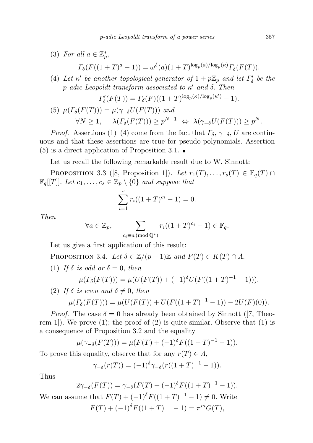(3) For all  $a \in \mathbb{Z}_p^*$ ,

$$
\Gamma_{\delta}(F((1+T)^{a}-1)) = \omega^{\delta}(a)(1+T)^{\log_{p}(a)/\log_{p}(\kappa)}\Gamma_{\delta}(F(T)).
$$

(4) Let  $\kappa'$  be another topological generator of  $1 + p\mathbb{Z}_p$  and let  $\Gamma'_\delta$  be the p-adic Leopoldt transform associated to  $\kappa'$  and  $\delta$ . Then

$$
\Gamma'_{\delta}(F(T)) = \Gamma_{\delta}(F)((1+T)^{\log_p(\kappa)/\log_p(\kappa')} - 1).
$$

(5) 
$$
\mu(\Gamma_{\delta}(F(T))) = \mu(\gamma_{-\delta}U(F(T)))
$$
 and  
\n $\forall N \ge 1$ ,  $\lambda(\Gamma_{\delta}(F(T))) \ge p^{N-1} \Leftrightarrow \lambda(\gamma_{-\delta}U(F(T))) \ge p^N$ .

*Proof.* Assertions (1)–(4) come from the fact that  $\Gamma_{\delta}$ ,  $\gamma_{-\delta}$ , U are continuous and that these assertions are true for pseudo-polynomials. Assertion  $(5)$  is a direct application of Proposition 3.1.

Let us recall the following remarkable result due to W. Sinnott:

PROPOSITION 3.3 ([8, Proposition 1]). Let  $r_1(T), \ldots, r_s(T) \in \mathbb{F}_q(T) \cap$  $\mathbb{F}_q[[T]]$ . Let  $c_1, \ldots, c_s \in \mathbb{Z}_p \setminus \{0\}$  and suppose that

$$
\sum_{i=1}^{s} r_i((1+T)^{c_i}-1)=0.
$$

Then

$$
\forall a \in \mathbb{Z}_p, \qquad \sum_{c_i \equiv a \pmod{\mathbb{Q}^*}} r_i((1+T)^{c_i} - 1) \in \mathbb{F}_q.
$$

Let us give a first application of this result:

PROPOSITION 3.4. Let  $\delta \in \mathbb{Z}/(p-1)\mathbb{Z}$  and  $F(T) \in K(T) \cap \Lambda$ .

(1) If  $\delta$  is odd or  $\delta = 0$ , then

$$
\mu(\Gamma_{\delta}(F(T))) = \mu(U(F(T)) + (-1)^{\delta}U(F((1+T)^{-1} - 1))).
$$

(2) If  $\delta$  is even and  $\delta \neq 0$ , then

$$
\mu(\Gamma_{\delta}(F(T))) = \mu(U(F(T)) + U(F((1+T)^{-1}-1)) - 2U(F)(0)).
$$

*Proof.* The case  $\delta = 0$  has already been obtained by Sinnott ([7, Theorem 1]). We prove  $(1)$ ; the proof of  $(2)$  is quite similar. Observe that  $(1)$  is a consequence of Proposition 3.2 and the equality

$$
\mu(\gamma_{-\delta}(F(T))) = \mu(F(T) + (-1)^{\delta} F((1+T)^{-1} - 1)).
$$

To prove this equality, observe that for any  $r(T) \in \Lambda$ ,

$$
\gamma_{-\delta}(r(T)) = (-1)^{\delta} \gamma_{-\delta}(r((1+T)^{-1} - 1)).
$$

Thus

$$
2\gamma_{-\delta}(F(T)) = \gamma_{-\delta}(F(T) + (-1)^{\delta}F((1+T)^{-1} - 1)).
$$

We can assume that  $F(T) + (-1)^{\delta} F((1+T)^{-1} - 1) \neq 0$ . Write  $F(T) + (-1)^{\delta} F((1+T)^{-1} - 1) = \pi^m G(T),$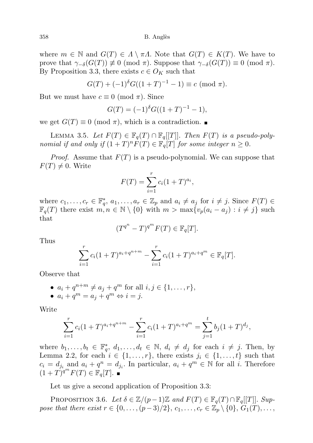358 B. Angl`es

where  $m \in \mathbb{N}$  and  $G(T) \in \Lambda \setminus \pi\Lambda$ . Note that  $G(T) \in K(T)$ . We have to prove that  $\gamma_{-\delta}(G(T)) \neq 0 \pmod{\pi}$ . Suppose that  $\gamma_{-\delta}(G(T)) \equiv 0 \pmod{\pi}$ . By Proposition 3.3, there exists  $c \in O_K$  such that

$$
G(T) + (-1)^{\delta} G((1+T)^{-1} - 1) \equiv c \pmod{\pi}.
$$

But we must have  $c \equiv 0 \pmod{\pi}$ . Since

$$
G(T) = (-1)^{\delta} G((1+T)^{-1} - 1),
$$

we get  $G(T) \equiv 0 \pmod{\pi}$ , which is a contradiction.

LEMMA 3.5. Let  $F(T) \in \mathbb{F}_q(T) \cap \mathbb{F}_q[[T]]$ . Then  $F(T)$  is a pseudo-polynomial if and only if  $(1+T)^n F(T) \in \mathbb{F}_q[T]$  for some integer  $n \geq 0$ .

*Proof.* Assume that  $F(T)$  is a pseudo-polynomial. We can suppose that  $F(T) \neq 0$ . Write

$$
F(T) = \sum_{i=1}^{r} c_i (1+T)^{a_i},
$$

where  $c_1, \ldots, c_r \in \mathbb{F}_q^*, a_1, \ldots, a_r \in \mathbb{Z}_p$  and  $a_i \neq a_j$  for  $i \neq j$ . Since  $F(T) \in$  $\mathbb{F}_q(T)$  there exist  $m, n \in \mathbb{N} \setminus \{0\}$  with  $m > \max\{v_p(a_i - a_j) : i \neq j\}$  such that

$$
(T^{q^n} - T)^{q^m} F(T) \in \mathbb{F}_q[T].
$$

Thus

$$
\sum_{i=1}^{r} c_i (1+T)^{a_i+q^{n+m}} - \sum_{i=1}^{r} c_i (1+T)^{a_i+q^m} \in \mathbb{F}_q[T].
$$

Observe that

\n- \n
$$
a_i + q^{n+m} \neq a_j + q^m \text{ for all } i, j \in \{1, \ldots, r\},
$$
\n
\n- \n
$$
a_i + q^m = a_j + q^m \Leftrightarrow i = j.
$$
\n
\n

Write

$$
\sum_{i=1}^{r} c_i (1+T)^{a_i+q^{n+m}} - \sum_{i=1}^{r} c_i (1+T)^{a_i+q^m} = \sum_{j=1}^{t} b_j (1+T)^{d_j},
$$

where  $b_1, \ldots, b_t \in \mathbb{F}_q^*, d_1, \ldots, d_t \in \mathbb{N}, d_i \neq d_j$  for each  $i \neq j$ . Then, by Lemma 2.2, for each  $i \in \{1, \ldots, r\}$ , there exists  $j_i \in \{1, \ldots, t\}$  such that  $c_i = d_{j_i}$  and  $a_i + q^n = d_{j_i}$ . In particular,  $a_i + q^m \in \mathbb{N}$  for all i. Therefore  $(1+T)^{q^m}F(T)\in \mathbb{F}_q[T].$ 

Let us give a second application of Proposition 3.3:

PROPOSITION 3.6. Let  $\delta \in \mathbb{Z}/(p-1)\mathbb{Z}$  and  $F(T) \in \mathbb{F}_q(T) \cap \mathbb{F}_q[[T]]$ . Suppose that there exist  $r \in \{0, \ldots, (p-3)/2\}, c_1, \ldots, c_r \in \mathbb{Z}_p \setminus \{0\}, G_1(T), \ldots,$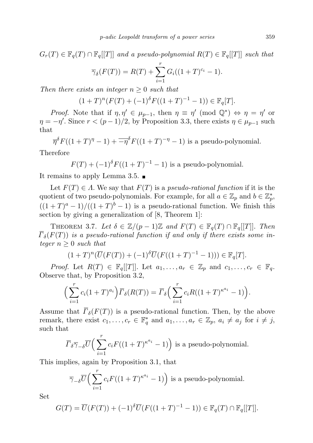$G_r(T) \in \mathbb{F}_q(T) \cap \mathbb{F}_q[[T]]$  and a pseudo-polynomial  $R(T) \in \mathbb{F}_q[[T]]$  such that

$$
\overline{\gamma}_{\delta}(F(T)) = R(T) + \sum_{i=1}^{r} G_i((1+T)^{c_i} - 1).
$$

Then there exists an integer  $n \geq 0$  such that

$$
(1+T)^n(F(T)+(-1)^{\delta}F((1+T)^{-1}-1)) \in \mathbb{F}_q[T].
$$

*Proof.* Note that if  $\eta, \eta' \in \mu_{p-1}$ , then  $\eta \equiv \eta' \pmod{\mathbb{Q}^*} \Leftrightarrow \eta = \eta'$  or  $\eta = -\eta'$ . Since  $r < (p-1)/2$ , by Proposition 3.3, there exists  $\eta \in \mu_{p-1}$  such that

$$
\overline{\eta}^{\delta} F((1+T)^{\eta}-1) + \overline{-\eta}^{\delta} F((1+T)^{-\eta}-1)
$$
 is a pseudo-polynomial.

Therefore

$$
F(T) + (-1)^{\delta} F((1+T)^{-1} - 1)
$$
 is a pseudo-polynomial.

It remains to apply Lemma 3.5.

Let  $F(T) \in \Lambda$ . We say that  $F(T)$  is a *pseudo-rational function* if it is the quotient of two pseudo-polynomials. For example, for all  $a \in \mathbb{Z}_p$  and  $b \in \mathbb{Z}_p^*$ ,  $((1+T)^a-1)/((1+T)^b-1)$  is a pseudo-rational function. We finish this section by giving a generalization of [8, Theorem 1]:

THEOREM 3.7. Let  $\delta \in \mathbb{Z}/(p-1)\mathbb{Z}$  and  $F(T) \in \mathbb{F}_q(T) \cap \mathbb{F}_q[[T]]$ . Then  $\overline{\Gamma}_{\delta}(F(T))$  is a pseudo-rational function if and only if there exists some integer  $n \geq 0$  such that

$$
(1+T)^n(\overline{U}(F(T)) + (-1)^{\delta}\overline{U}(F((1+T)^{-1} - 1))) \in \mathbb{F}_q[T].
$$

*Proof.* Let  $R(T) \in \mathbb{F}_q[[T]]$ . Let  $a_1, \ldots, a_r \in \mathbb{Z}_p$  and  $c_1, \ldots, c_r \in \mathbb{F}_q$ . Observe that, by Proposition 3.2,

$$
\left(\sum_{i=1}^r c_i (1+T)^{a_i}\right) \overline{\Gamma}_{\delta}(R(T)) = \overline{\Gamma}_{\delta}\left(\sum_{i=1}^r c_i R((1+T)^{\kappa^{a_i}} - 1)\right).
$$

Assume that  $\overline{\Gamma}_{\delta}(F(T))$  is a pseudo-rational function. Then, by the above remark, there exist  $c_1, \ldots, c_r \in \mathbb{F}_q^*$  and  $a_1, \ldots, a_r \in \mathbb{Z}_p$ ,  $a_i \neq a_j$  for  $i \neq j$ , such that

$$
\overline{\Gamma}_{\delta} \overline{\gamma}_{-\delta} \overline{U} \Big( \sum_{i=1}^{r} c_i F((1+T)^{\kappa^{a_i}} - 1) \Big) \text{ is a pseudo-polynomial.}
$$

This implies, again by Proposition 3.1, that

$$
\overline{\gamma}_{-\delta}\overline{U}\Big(\sum_{i=1}^r c_i F((1+T)^{\kappa^{a_i}}-1)\Big) \text{ is a pseudo-polynomial.}
$$

Set

$$
G(T) = \overline{U}(F(T)) + (-1)^{\delta} \overline{U}(F((1+T)^{-1} - 1)) \in \mathbb{F}_q(T) \cap \mathbb{F}_q[[T]].
$$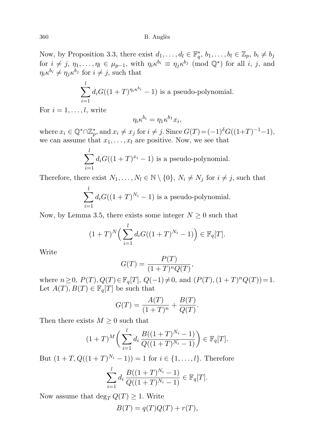Now, by Proposition 3.3, there exist  $d_1, \ldots, d_l \in \mathbb{F}_q^*, b_1, \ldots, b_l \in \mathbb{Z}_p, b_i \neq b_j$ for  $i \neq j, \eta_1, \ldots, \eta_l \in \mu_{p-1}$ , with  $\eta_i \kappa^{b_i} \equiv \eta_j \kappa^{b_j} \pmod{\mathbb{Q}^*}$  for all i, j, and  $\eta_i \kappa^{b_i} \neq \eta_j \kappa^{b_j}$  for  $i \neq j$ , such that

$$
\sum_{i=1}^{l} d_i G((1+T)^{\eta_i \kappa^{b_i}} - 1)
$$
 is a pseudo-polynomial.

For  $i = 1, \ldots, l$ , write

$$
\eta_i \kappa^{b_i} = \eta_1 \kappa^{b_1} x_i,
$$

where  $x_i \in \mathbb{Q}^* \cap \mathbb{Z}_p^*$ , and  $x_i \neq x_j$  for  $i \neq j$ . Since  $G(T) = (-1)^{\delta} G((1+T)^{-1}-1)$ , we can assume that  $x_1, \ldots, x_l$  are positive. Now, we see that

$$
\sum_{i=1}^{l} d_i G((1+T)^{x_i} - 1)
$$
 is a pseudo-polynomial.

Therefore, there exist  $N_1, \ldots, N_l \in \mathbb{N} \setminus \{0\}$ ,  $N_i \neq N_j$  for  $i \neq j$ , such that

$$
\sum_{i=1}^{l} d_i G((1+T)^{N_i} - 1)
$$
 is a pseudo-polynomial.

Now, by Lemma 3.5, there exists some integer  $N \geq 0$  such that

$$
(1+T)^N \Big(\sum_{i=1}^l d_i G((1+T)^{N_i}-1)\Big) \in \mathbb{F}_q[T].
$$

Write

$$
G(T) = \frac{P(T)}{(1+T)^n Q(T)},
$$

where  $n \geq 0$ ,  $P(T)$ ,  $Q(T) \in \mathbb{F}_q[T]$ ,  $Q(-1) \neq 0$ , and  $(P(T), (1 + T)^n Q(T)) = 1$ . Let  $A(T), B(T) \in \mathbb{F}_q[T]$  be such that

$$
G(T) = \frac{A(T)}{(1+T)^n} + \frac{B(T)}{Q(T)}.
$$

Then there exists  $M \geq 0$  such that

$$
(1+T)^M\bigg(\sum_{i=1}^l d_i \frac{B((1+T)^{N_i}-1)}{Q((1+T)^{N_i}-1)}\bigg) \in \mathbb{F}_q[T].
$$

But  $(1+T, Q((1+T)^{N_i}-1)) = 1$  for  $i \in \{1, ..., l\}$ . Therefore

$$
\sum_{i=1}^{l} d_i \frac{B((1+T)^{N_i}-1)}{Q((1+T)^{N_i}-1)} \in \mathbb{F}_q[T].
$$

Now assume that  $\deg_T Q(T) \geq 1$ . Write

$$
B(T) = q(T)Q(T) + r(T),
$$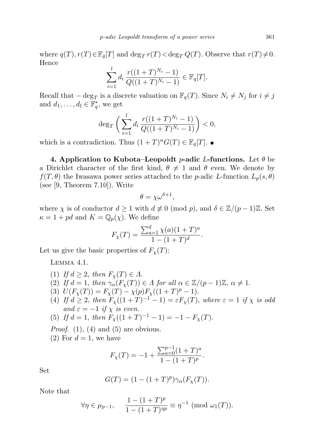where  $q(T), r(T) \in \mathbb{F}_q[T]$  and  $\deg_T r(T) < \deg_T Q(T)$ . Observe that  $r(T) \neq 0$ . Hence

$$
\sum_{i=1}^{l} d_i \frac{r((1+T)^{N_i}-1)}{Q((1+T)^{N_i}-1)} \in \mathbb{F}_q[T].
$$

Recall that  $-\deg_T$  is a discrete valuation on  $\mathbb{F}_q(T)$ . Since  $N_i \neq N_j$  for  $i \neq j$ and  $d_1, \ldots, d_l \in \overline{\mathbb{F}_q^*}$ , we get

$$
\deg_T\bigg(\sum_{i=1}^ld_i\frac{r((1+T)^{N_i}-1)}{Q((1+T)^{N_i}-1)}\bigg)<0,
$$

which is a contradiction. Thus  $(1+T)^n G(T) \in \mathbb{F}_q[T]$ .

4. Application to Kubota–Leopoldt p-adic L-functions. Let  $\theta$  be a Dirichlet character of the first kind,  $\theta \neq 1$  and  $\theta$  even. We denote by  $f(T, \theta)$  the Iwasawa power series attached to the p-adic L-function  $L_p(s, \theta)$ (see [9, Theorem 7.10]). Write

$$
\theta = \chi \omega^{\delta + 1},
$$

where  $\chi$  is of conductor  $d \geq 1$  with  $d \not\equiv 0 \pmod{p}$ , and  $\delta \in \mathbb{Z}/(p-1)\mathbb{Z}$ . Set  $\kappa = 1 + pd$  and  $K = \mathbb{Q}_p(\chi)$ . We define

$$
F_{\chi}(T) = \frac{\sum_{a=1}^{d} \chi(a)(1+T)^{a}}{1 - (1+T)^{d}}.
$$

Let us give the basic properties of  $F_{\chi}(T)$ :

Lemma 4.1.

- (1) If  $d \geq 2$ , then  $F_{\chi}(T) \in \Lambda$ .
- (2) If  $d = 1$ , then  $\gamma_{\alpha}(F_{\chi}(T)) \in \Lambda$  for all  $\alpha \in \mathbb{Z}/(p-1)\mathbb{Z}, \alpha \neq 1$ .
- (3)  $U(F_\chi(T)) = F_\chi(T) \chi(p) F_\chi((1+T)^p 1).$
- (4) If  $d \geq 2$ , then  $F_{\chi}((1+T)^{-1}-1) = \varepsilon F_{\chi}(T)$ , where  $\varepsilon = 1$  if  $\chi$  is odd and  $\varepsilon = -1$  if  $\chi$  is even.

(5) If 
$$
d = 1
$$
, then  $F_{\chi}((1+T)^{-1} - 1) = -1 - F_{\chi}(T)$ .

*Proof.* (1), (4) and (5) are obvious.

(2) For  $d = 1$ , we have

$$
F_{\chi}(T) = -1 + \frac{\sum_{a=0}^{p-1} (1+T)^{a}}{1 - (1+T)^{p}}.
$$

Set

$$
G(T) = (1 - (1 + T)^p)\gamma_\alpha(F_\chi(T)).
$$

Note that

$$
\forall \eta \in \mu_{p-1}, \quad \frac{1 - (1+T)^p}{1 - (1+T)^{np}} \equiv \eta^{-1} \; (\text{mod } \omega_1(T)).
$$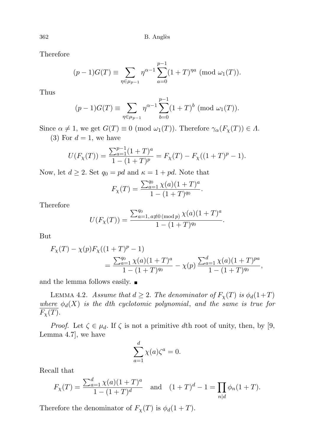Therefore

$$
(p-1)G(T) \equiv \sum_{\eta \in \mu_{p-1}} \eta^{\alpha-1} \sum_{a=0}^{p-1} (1+T)^{\eta a} \pmod{\omega_1(T)}.
$$

Thus

$$
(p-1)G(T) \equiv \sum_{\eta \in \mu_{p-1}} \eta^{\alpha-1} \sum_{b=0}^{p-1} (1+T)^b \pmod{\omega_1(T)}.
$$

Since  $\alpha \neq 1$ , we get  $G(T) \equiv 0 \pmod{\omega_1(T)}$ . Therefore  $\gamma_\alpha(F_\chi(T)) \in \Lambda$ . (3) For  $d=1$ , we have

$$
U(F_{\chi}(T)) = \frac{\sum_{a=1}^{p-1} (1+T)^a}{1 - (1+T)^p} = F_{\chi}(T) - F_{\chi}((1+T)^p - 1).
$$

Now, let  $d \geq 2$ . Set  $q_0 = pd$  and  $\kappa = 1 + pd$ . Note that

$$
F_{\chi}(T) = \frac{\sum_{a=1}^{q_0} \chi(a)(1+T)^a}{1 - (1+T)^{q_0}}.
$$

Therefore

$$
U(F_{\chi}(T)) = \frac{\sum_{a=1, a \not\equiv 0 \pmod{p}}^{q_0} \chi(a)(1+T)^a}{1 - (1+T)^{q_0}}.
$$

But

$$
F_{\chi}(T) - \chi(p)F_{\chi}((1+T)^p - 1)
$$
  
= 
$$
\frac{\sum_{a=1}^{q_0} \chi(a)(1+T)^a}{1 - (1+T)^{q_0}} - \chi(p) \frac{\sum_{a=1}^{d} \chi(a)(1+T)^{pa}}{1 - (1+T)^{q_0}},
$$

and the lemma follows easily.

LEMMA 4.2. Assume that  $d \geq 2$ . The denominator of  $F_{\chi}(T)$  is  $\phi_d(1+T)$ where  $\phi_d(X)$  is the dth cyclotomic polynomial, and the same is true for  $\overline{F_{\chi}(T)}$ .

*Proof.* Let  $\zeta \in \mu_d$ . If  $\zeta$  is not a primitive dth root of unity, then, by [9, Lemma 4.7], we have

$$
\sum_{a=1}^{d} \chi(a)\zeta^a = 0.
$$

Recall that

$$
F_{\chi}(T) = \frac{\sum_{a=1}^{d} \chi(a)(1+T)^{a}}{1 - (1+T)^{d}} \quad \text{and} \quad (1+T)^{d} - 1 = \prod_{n|d} \phi_n(1+T).
$$

Therefore the denominator of  $F_{\chi}(T)$  is  $\phi_d(1+T)$ .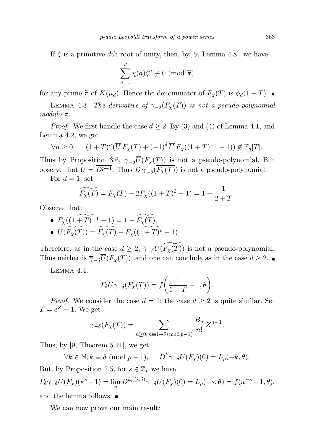If  $\zeta$  is a primitive dth root of unity, then, by [9, Lemma 4.8], we have

$$
\sum_{a=1}^{d} \chi(a)\zeta^{a} \not\equiv 0 \pmod{\widetilde{\pi}}
$$

for any prime  $\widetilde{\pi}$  of  $K(\mu_d)$ . Hence the denominator of  $\overline{F_\chi(T)}$  is  $\overline{\phi_d(1+T)}$ .

LEMMA 4.3. The derivative of  $\gamma_{-\delta}(F_\chi(T))$  is not a pseudo-polynomial modulo  $\pi$ .

*Proof.* We first handle the case  $d \geq 2$ . By (3) and (4) of Lemma 4.1, and Lemma 4.2, we get

$$
\forall n \geq 0, \quad (1+T)^n (\overline{U} \ \overline{F_\chi(T)} + (-1)^{\delta} \ \overline{U} \ \overline{F_\chi((1+T)^{-1}-1)}) \notin \mathbb{F}_q[T].
$$

Thus by Proposition 3.6,  $\overline{\gamma}_{-\delta} \overline{U}(F_{\chi}(T))$  is not a pseudo-polynomial. But observe that  $\overline{U} = D^{p-1}$ . Thus  $\overline{D} \overline{\gamma}_{-\delta}(\overline{F_{\chi}(T)})$  is not a pseudo-polynomial.

For  $d=1$ , set

$$
\widetilde{F_{\chi}(T)} = F_{\chi}(T) - 2F_{\chi}((1+T)^{2} - 1) = 1 - \frac{1}{2+T}
$$

Observe that:

• 
$$
F_{\chi}((1+T)^{-1}-1) = 1 - F_{\chi}(T),
$$
  
• 
$$
U(F_{\chi}(T)) = F_{\chi}(T) - F_{\chi}((1+T)^{p}-1).
$$

Therefore, as in the case  $d \geq 2$ ,  $\overline{\gamma_{-\delta}U}(\widetilde{F_{\chi}(T)})$  is not a pseudo-polynomial. Thus neither is  $\overline{\gamma}_{-\delta} \overline{U}(\overline{F_{\chi}(T)})$ , and one can conclude as in the case  $d \geq 2$ .

Lemma 4.4.

$$
\Gamma_{\delta} U \gamma_{-\delta}(F_{\chi}(T)) = f\bigg(\frac{1}{1+T} - 1, \theta\bigg).
$$

*Proof.* We consider the case  $d = 1$ ; the case  $d \geq 2$  is quite similar. Set  $T = e^Z - 1$ . We get

$$
\gamma_{-\delta}(F_{\chi}(T)) = \sum_{n \ge 0, n \equiv 1 + \delta \pmod{p-1}} \frac{B_n}{n!} Z^{n-1}.
$$

Thus, by [9, Theorem 5.11], we get

 $\forall k \in \mathbb{N}, k \equiv \delta \pmod{p-1}, \quad D^k \gamma_{\delta} U(F_{\chi})(0) = L_p(-k, \theta).$ 

But, by Proposition 2.5, for  $s \in \mathbb{Z}_p$  we have

$$
\Gamma_{\delta}\gamma_{-\delta}U(F_{\chi})(\kappa^s - 1) = \lim_{n} D^{k_n(s,\delta)}\gamma_{-\delta}U(F_{\chi})(0) = L_p(-s,\theta) = f(\kappa^{-s} - 1,\theta),
$$
  
and the lemma follows.

We can now prove our main result:

.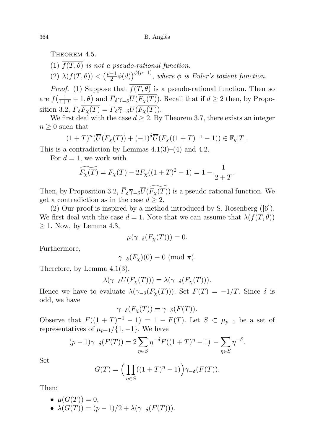THEOREM 4.5.

(1)  $\overline{f(T, \theta)}$  is not a pseudo-rational function.

(2)  $\lambda(f(T, \theta)) < \left(\frac{p-1}{2}\right)$  $\left(\frac{-1}{2}\phi(d)\right)^{\phi(p-1)},$  where  $\phi$  is Euler's totient function.

*Proof.* (1) Suppose that  $\overline{f(T,\theta)}$  is a pseudo-rational function. Then so are  $f(\frac{1}{1+T}-1,\theta)$  and  $\overline{\Gamma}_{\delta\overline{\gamma}_{-\delta}}\overline{U}(\overline{F_{\chi}(T)})$ . Recall that if  $d\geq 2$  then, by Proposition 3.2,  $\overline{\Gamma_{\delta}F_{\chi}(T)} = \overline{\Gamma_{\delta}\overline{\gamma}_{-\delta}\overline{U}(\overline{F_{\chi}(T)})}.$ 

We first deal with the case  $d \geq 2$ . By Theorem 3.7, there exists an integer  $n \geq 0$  such that

$$
(1+T)^n(\overline{U}(\overline{F_\chi(T)})+(-1)^{\delta}\overline{U}(\overline{F_\chi((1+T)^{-1}-1)})\in \mathbb{F}_q[T].
$$

This is a contradiction by Lemmas  $4.1(3)$ – $(4)$  and  $4.2$ .

For  $d = 1$ , we work with

$$
\widetilde{F_{\chi}(T)} = F_{\chi}(T) - 2F_{\chi}((1+T)^{2} - 1) = 1 - \frac{1}{2+T}.
$$

Then, by Proposition 3.2,  $\overline{\overline{F}_{\delta}\overline{\gamma}_{-\delta}\overline{U}(\overline{\widetilde{F_{\chi}(T)}})}$  is a pseudo-rational function. We get a contradiction as in the case  $d \geq 2$ .

(2) Our proof is inspired by a method introduced by S. Rosenberg ([6]). We first deal with the case  $d = 1$ . Note that we can assume that  $\lambda(f(T, \theta))$  $\geq$  1. Now, by Lemma 4.3,

$$
\mu(\gamma_{-\delta}(F_{\chi}(T)))=0.
$$

Furthermore,

$$
\gamma_{-\delta}(F_{\chi})(0) \equiv 0 \pmod{\pi}.
$$

Therefore, by Lemma 4.1(3),

$$
\lambda(\gamma_{-\delta}U(F_{\chi}(T))) = \lambda(\gamma_{-\delta}(F_{\chi}(T))).
$$

Hence we have to evaluate  $\lambda(\gamma_{-\delta}(F_\chi(T)))$ . Set  $F(T) = -1/T$ . Since  $\delta$  is odd, we have

$$
\gamma_{-\delta}(F_{\chi}(T)) = \gamma_{-\delta}(F(T)).
$$

Observe that  $F((1+T)^{-1}-1) = 1 - F(T)$ . Let  $S \subset \mu_{p-1}$  be a set of representatives of  $\mu_{p-1}/\{1,-1\}$ . We have

$$
(p-1)\gamma_{-\delta}(F(T)) = 2\sum_{\eta \in S} \eta^{-\delta} F((1+T)^{\eta}-1) - \sum_{\eta \in S} \eta^{-\delta}.
$$

Set

$$
G(T) = \left(\prod_{\eta \in S} ((1+T)^{\eta} - 1)\right) \gamma_{-\delta}(F(T)).
$$

Then:

•  $\mu(G(T)) = 0$ , •  $\lambda(G(T)) = (p-1)/2 + \lambda(\gamma_{-\delta}(F(T))).$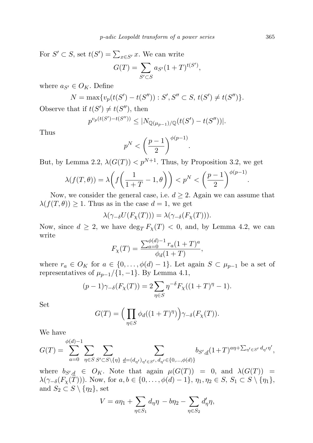For  $S' \subset S$ , set  $t(S') = \sum_{x \in S'} x$ . We can write

$$
G(T) = \sum_{S' \subset S} a_{S'} (1 + T)^{t(S')},
$$

0. mars

where  $a_{S'} \in O_K$ . Define

$$
N = \max\{v_p(t(S') - t(S'')) : S', S'' \subset S, t(S') \neq t(S'')\}.
$$

Observe that if  $t(S') \neq t(S'')$ , then

$$
p^{v_p(t(S') - t(S''))} \leq |N_{\mathbb{Q}(\mu_{p-1})/\mathbb{Q}}(t(S') - t(S''))|.
$$

Thus

$$
p^N < \left(\frac{p-1}{2}\right)^{\phi(p-1)}.
$$

But, by Lemma 2.2,  $\lambda(G(T)) < p^{N+1}$ . Thus, by Proposition 3.2, we get

$$
\lambda(f(T,\theta)) = \lambda\left(f\left(\frac{1}{1+T} - 1, \theta\right)\right) < p^N < \left(\frac{p-1}{2}\right)^{\phi(p-1)}
$$

Now, we consider the general case, i.e.  $d \geq 2$ . Again we can assume that  $\lambda(f(T, \theta)) \geq 1$ . Thus as in the case  $d = 1$ , we get

$$
\lambda(\gamma_{-\delta}U(F_{\chi}(T))) = \lambda(\gamma_{-\delta}(F_{\chi}(T))).
$$

Now, since  $d \geq 2$ , we have  $\deg_T F_\chi(T) < 0$ , and, by Lemma 4.2, we can write

$$
F_{\chi}(T) = \frac{\sum_{a=0}^{\phi(d)-1} r_a (1+T)^a}{\phi_d (1+T)},
$$

where  $r_a \in O_K$  for  $a \in \{0, \ldots, \phi(d)-1\}$ . Let again  $S \subset \mu_{p-1}$  be a set of representatives of  $\mu_{p-1}/\{1,-1\}$ . By Lemma 4.1,

$$
(p-1)\gamma_{-\delta}(F_{\chi}(T)) = 2\sum_{\eta \in S} \eta^{-\delta} F_{\chi}((1+T)^{\eta} - 1).
$$

Set

$$
G(T) = \left(\prod_{\eta \in S} \phi_d((1+T)^{\eta})\right) \gamma_{-\delta}(F_\chi(T)).
$$

We have

$$
G(T) = \sum_{a=0}^{\phi(d)-1} \sum_{\eta \in S} \sum_{S' \subset S \setminus \{\eta\}} \sum_{\underline{d}=(d_{\eta'})_{\eta' \in S'}, d_{\eta'} \in \{0, \dots, \phi(d)\}} b_{S',\underline{d}} (1+T)^{a\eta+\sum_{\eta' \in S'} d_{\eta'} \eta'},
$$

where  $b_{S',\underline{d}} \in O_K$ . Note that again  $\mu(G(T)) = 0$ , and  $\lambda(G(T)) =$  $\lambda(\gamma_{-\delta}(F_\chi(T)))$ . Now, for  $a, b \in \{0, \ldots, \phi(d)-1\}, \eta_1, \eta_2 \in S, S_1 \subset S \setminus \{\eta_1\},\$ and  $S_2 \subset S \setminus \{\eta_2\}$ , set

$$
V = a\eta_1 + \sum_{\eta \in S_1} d_{\eta} \eta - b\eta_2 - \sum_{\eta \in S_2} d'_{\eta} \eta,
$$

.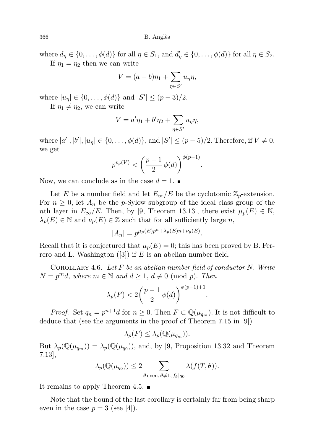where  $d_{\eta} \in \{0, \ldots, \phi(d)\}\$ for all  $\eta \in S_1$ , and  $d'_{\eta} \in \{0, \ldots, \phi(d)\}\$ for all  $\eta \in S_2$ .

If  $\eta_1 = \eta_2$  then we can write

$$
V = (a - b)\eta_1 + \sum_{\eta \in S'} u_{\eta} \eta,
$$

where  $|u_{\eta}| \in \{0, ..., \phi(d)\}\$  and  $|S'| \leq (p-3)/2$ .

If  $\eta_1 \neq \eta_2$ , we can write

$$
V = a'\eta_1 + b'\eta_2 + \sum_{\eta \in S'} u_{\eta}\eta,
$$

where  $|a'|, |b'|, |u_{\eta}| \in \{0, ..., \phi(d)\},\$  and  $|S'| \leq (p-5)/2$ . Therefore, if  $V \neq 0$ , we get

$$
p^{v_p(V)} < \left(\frac{p-1}{2} \phi(d)\right)^{\phi(p-1)}
$$

.

.

Now, we can conclude as in the case  $d = 1$ .

Let E be a number field and let  $E_{\infty}/E$  be the cyclotomic  $\mathbb{Z}_p$ -extension. For  $n \geq 0$ , let  $A_n$  be the p-Sylow subgroup of the ideal class group of the nth layer in  $E_{\infty}/E$ . Then, by [9, Theorem 13.13], there exist  $\mu_p(E) \in \mathbb{N}$ ,  $\lambda_p(E) \in \mathbb{N}$  and  $\nu_p(E) \in \mathbb{Z}$  such that for all sufficiently large n,

$$
|A_n| = p^{\mu_p(E)p^n + \lambda_p(E)n + \nu_p(E)}.
$$

Recall that it is conjectured that  $\mu_p(E) = 0$ ; this has been proved by B. Ferrero and L. Washington  $(3)$  if E is an abelian number field.

COROLLARY 4.6. Let  $F$  be an abelian number field of conductor N. Write  $N = p<sup>m</sup>d$ , where  $m \in \mathbb{N}$  and  $d \geq 1$ ,  $d \not\equiv 0 \pmod{p}$ . Then

$$
\lambda_p(F) < 2\left(\frac{p-1}{2}\,\phi(d)\right)^{\phi(p-1)+1}
$$

*Proof.* Set  $q_n = p^{n+1}d$  for  $n \geq 0$ . Then  $F \subset \mathbb{Q}(\mu_{q_m})$ . It is not difficult to deduce that (see the arguments in the proof of Theorem 7.15 in [9])

$$
\lambda_p(F) \leq \lambda_p(\mathbb{Q}(\mu_{q_m})).
$$

But  $\lambda_p(\mathbb{Q}(\mu_{q_m})) = \lambda_p(\mathbb{Q}(\mu_{q_0}))$ , and, by [9, Proposition 13.32 and Theorem 7.13],

$$
\lambda_p(\mathbb{Q}(\mu_{q_0})) \le 2 \sum_{\theta \text{ even, } \theta \neq 1, f_{\theta} | q_0} \lambda(f(T, \theta)).
$$

It remains to apply Theorem 4.5.  $\blacksquare$ 

Note that the bound of the last corollary is certainly far from being sharp even in the case  $p = 3$  (see [4]).